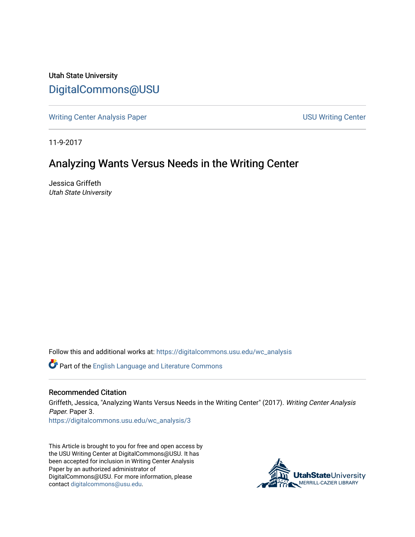Utah State University [DigitalCommons@USU](https://digitalcommons.usu.edu/)

[Writing Center Analysis Paper](https://digitalcommons.usu.edu/wc_analysis) National Communication of the USU Writing Center

11-9-2017

## Analyzing Wants Versus Needs in the Writing Center

Jessica Griffeth Utah State University

Follow this and additional works at: [https://digitalcommons.usu.edu/wc\\_analysis](https://digitalcommons.usu.edu/wc_analysis?utm_source=digitalcommons.usu.edu%2Fwc_analysis%2F3&utm_medium=PDF&utm_campaign=PDFCoverPages) 

Part of the [English Language and Literature Commons](http://network.bepress.com/hgg/discipline/455?utm_source=digitalcommons.usu.edu%2Fwc_analysis%2F3&utm_medium=PDF&utm_campaign=PDFCoverPages)

## Recommended Citation

Griffeth, Jessica, "Analyzing Wants Versus Needs in the Writing Center" (2017). Writing Center Analysis Paper. Paper 3.

[https://digitalcommons.usu.edu/wc\\_analysis/3](https://digitalcommons.usu.edu/wc_analysis/3?utm_source=digitalcommons.usu.edu%2Fwc_analysis%2F3&utm_medium=PDF&utm_campaign=PDFCoverPages) 

This Article is brought to you for free and open access by the USU Writing Center at DigitalCommons@USU. It has been accepted for inclusion in Writing Center Analysis Paper by an authorized administrator of DigitalCommons@USU. For more information, please contact [digitalcommons@usu.edu](mailto:digitalcommons@usu.edu).

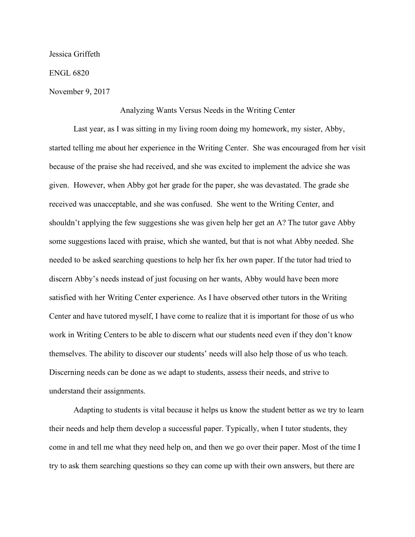Jessica Griffeth

ENGL 6820

November 9, 2017

## Analyzing Wants Versus Needs in the Writing Center

Last year, as I was sitting in my living room doing my homework, my sister, Abby, started telling me about her experience in the Writing Center. She was encouraged from her visit because of the praise she had received, and she was excited to implement the advice she was given. However, when Abby got her grade for the paper, she was devastated. The grade she received was unacceptable, and she was confused. She went to the Writing Center, and shouldn't applying the few suggestions she was given help her get an A? The tutor gave Abby some suggestions laced with praise, which she wanted, but that is not what Abby needed. She needed to be asked searching questions to help her fix her own paper. If the tutor had tried to discern Abby's needs instead of just focusing on her wants, Abby would have been more satisfied with her Writing Center experience. As I have observed other tutors in the Writing Center and have tutored myself, I have come to realize that it is important for those of us who work in Writing Centers to be able to discern what our students need even if they don't know themselves. The ability to discover our students' needs will also help those of us who teach. Discerning needs can be done as we adapt to students, assess their needs, and strive to understand their assignments.

Adapting to students is vital because it helps us know the student better as we try to learn their needs and help them develop a successful paper. Typically, when I tutor students, they come in and tell me what they need help on, and then we go over their paper. Most of the time I try to ask them searching questions so they can come up with their own answers, but there are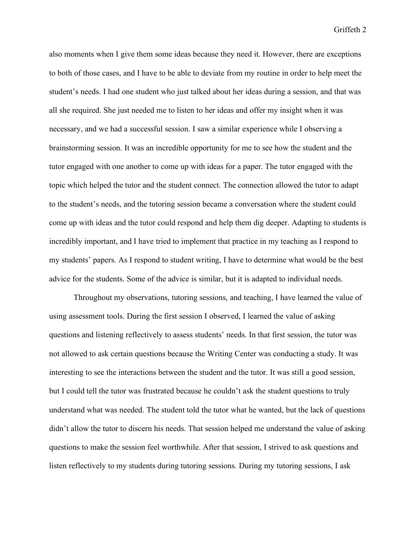Griffeth 2

also moments when I give them some ideas because they need it. However, there are exceptions to both of those cases, and I have to be able to deviate from my routine in order to help meet the student's needs. I had one student who just talked about her ideas during a session, and that was all she required. She just needed me to listen to her ideas and offer my insight when it was necessary, and we had a successful session. I saw a similar experience while I observing a brainstorming session. It was an incredible opportunity for me to see how the student and the tutor engaged with one another to come up with ideas for a paper. The tutor engaged with the topic which helped the tutor and the student connect. The connection allowed the tutor to adapt to the student's needs, and the tutoring session became a conversation where the student could come up with ideas and the tutor could respond and help them dig deeper. Adapting to students is incredibly important, and I have tried to implement that practice in my teaching as I respond to my students' papers. As I respond to student writing, I have to determine what would be the best advice for the students. Some of the advice is similar, but it is adapted to individual needs.

Throughout my observations, tutoring sessions, and teaching, I have learned the value of using assessment tools. During the first session I observed, I learned the value of asking questions and listening reflectively to assess students' needs. In that first session, the tutor was not allowed to ask certain questions because the Writing Center was conducting a study. It was interesting to see the interactions between the student and the tutor. It was still a good session, but I could tell the tutor was frustrated because he couldn't ask the student questions to truly understand what was needed. The student told the tutor what he wanted, but the lack of questions didn't allow the tutor to discern his needs. That session helped me understand the value of asking questions to make the session feel worthwhile. After that session, I strived to ask questions and listen reflectively to my students during tutoring sessions. During my tutoring sessions, I ask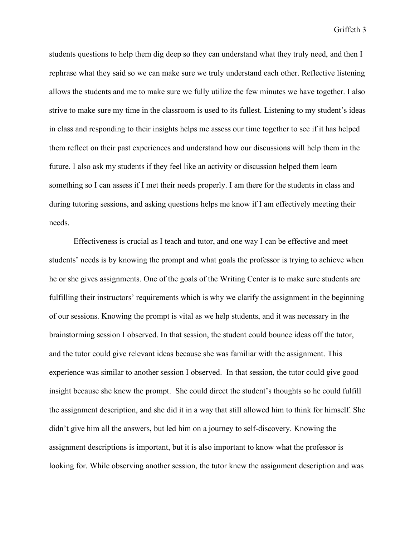Griffeth 3

students questions to help them dig deep so they can understand what they truly need, and then I rephrase what they said so we can make sure we truly understand each other. Reflective listening allows the students and me to make sure we fully utilize the few minutes we have together. I also strive to make sure my time in the classroom is used to its fullest. Listening to my student's ideas in class and responding to their insights helps me assess our time together to see if it has helped them reflect on their past experiences and understand how our discussions will help them in the future. I also ask my students if they feel like an activity or discussion helped them learn something so I can assess if I met their needs properly. I am there for the students in class and during tutoring sessions, and asking questions helps me know if I am effectively meeting their needs.

Effectiveness is crucial as I teach and tutor, and one way I can be effective and meet students' needs is by knowing the prompt and what goals the professor is trying to achieve when he or she gives assignments. One of the goals of the Writing Center is to make sure students are fulfilling their instructors' requirements which is why we clarify the assignment in the beginning of our sessions. Knowing the prompt is vital as we help students, and it was necessary in the brainstorming session I observed. In that session, the student could bounce ideas off the tutor, and the tutor could give relevant ideas because she was familiar with the assignment. This experience was similar to another session I observed. In that session, the tutor could give good insight because she knew the prompt. She could direct the student's thoughts so he could fulfill the assignment description, and she did it in a way that still allowed him to think for himself. She didn't give him all the answers, but led him on a journey to self-discovery. Knowing the assignment descriptions is important, but it is also important to know what the professor is looking for. While observing another session, the tutor knew the assignment description and was